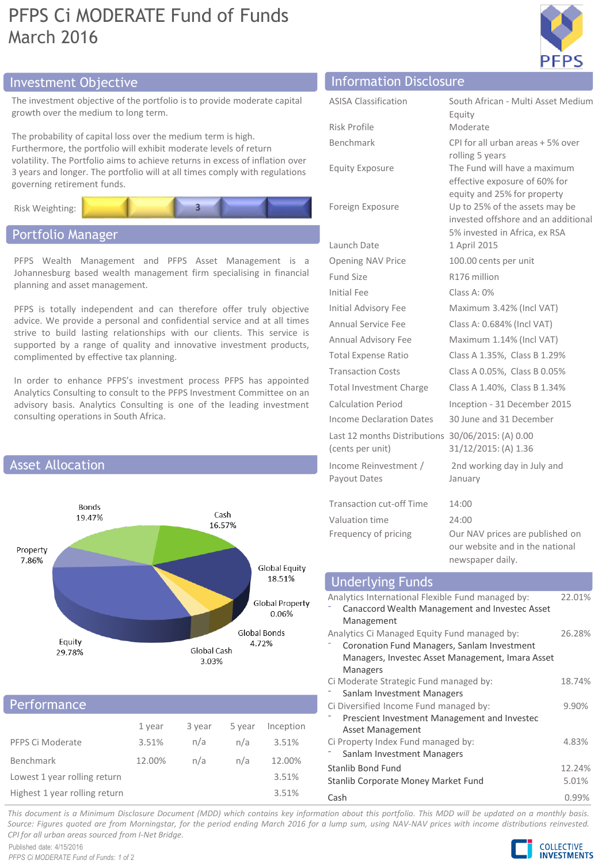# PFPS Ci MODERATE Fund of Funds March 2016



# Investment Objective Information Disclosure

The investment objective of the portfolio is to provide moderate capital growth over the medium to long term.

The probability of capital loss over the medium term is high. Furthermore, the portfolio will exhibit moderate levels of return volatility. The Portfolio aims to achieve returns in excess of inflation over 3 years and longer. The portfolio will at all times comply with regulations governing retirement funds.



## Portfolio Manager

PFPS Wealth Management and PFPS Asset Management is a Johannesburg based wealth management firm specialising in financial planning and asset management.

PFPS is totally independent and can therefore offer truly objective advice. We provide a personal and confidential service and at all times strive to build lasting relationships with our clients. This service is supported by a range of quality and innovative investment products, complimented by effective tax planning.

In order to enhance PFPS's investment process PFPS has appointed Analytics Consulting to consult to the PFPS Investment Committee on an advisory basis. Analytics Consulting is one of the leading investment consulting operations in South Africa.



### **Performance**

|                               | 1 year | 3 year | 5 year | Inception |
|-------------------------------|--------|--------|--------|-----------|
| PFPS Ci Moderate              | 3.51%  | n/a    | n/a    | 3.51%     |
| Benchmark                     | 12.00% | n/a    | n/a    | 12.00%    |
| Lowest 1 year rolling return  |        |        |        | 3.51%     |
| Highest 1 year rolling return |        |        |        | 3.51%     |

| <b>ASISA Classification</b>                                           | South African - Multi Asset Medium<br>Equity                                                           |
|-----------------------------------------------------------------------|--------------------------------------------------------------------------------------------------------|
| Risk Profile                                                          | Moderate                                                                                               |
| Benchmark                                                             | CPI for all urban areas + 5% over<br>rolling 5 years                                                   |
| <b>Equity Exposure</b>                                                | The Fund will have a maximum<br>effective exposure of 60% for<br>equity and 25% for property           |
| Foreign Exposure                                                      | Up to 25% of the assets may be<br>invested offshore and an additional<br>5% invested in Africa, ex RSA |
| Launch Date                                                           | 1 April 2015                                                                                           |
| <b>Opening NAV Price</b>                                              | 100.00 cents per unit                                                                                  |
| Fund Size                                                             | R176 million                                                                                           |
| Initial Fee                                                           | Class A: $0\%$                                                                                         |
| Initial Advisory Fee                                                  | Maximum 3.42% (Incl VAT)                                                                               |
| Annual Service Fee                                                    | Class A: 0.684% (Incl VAT)                                                                             |
| Annual Advisory Fee                                                   | Maximum 1.14% (Incl VAT)                                                                               |
| <b>Total Expense Ratio</b>                                            | Class A 1.35%, Class B 1.29%                                                                           |
| <b>Transaction Costs</b>                                              | Class A 0.05%, Class B 0.05%                                                                           |
| <b>Total Investment Charge</b>                                        | Class A 1.40%, Class B 1.34%                                                                           |
| <b>Calculation Period</b>                                             | Inception - 31 December 2015                                                                           |
| Income Declaration Dates                                              | 30 June and 31 December                                                                                |
| Last 12 months Distributions 30/06/2015: (A) 0.00<br>(cents per unit) | 31/12/2015: (A) 1.36                                                                                   |
| Income Reinvestment /<br>Payout Dates                                 | 2nd working day in July and<br>January                                                                 |
| <b>Transaction cut-off Time</b>                                       | 14:00                                                                                                  |
| Valuation time                                                        | 24:00                                                                                                  |
| Frequency of pricing                                                  | Our NAV prices are published on<br>our website and in the national<br>newspaper daily.                 |

| <b>Underlying Funds</b>                           |        |
|---------------------------------------------------|--------|
| Analytics International Flexible Fund managed by: | 22.01% |
| Canaccord Wealth Management and Investec Asset    |        |
| Management                                        |        |
| Analytics Ci Managed Equity Fund managed by:      | 26.28% |
| Coronation Fund Managers, Sanlam Investment       |        |
| Managers, Investec Asset Management, Imara Asset  |        |
| Managers                                          |        |
| Ci Moderate Strategic Fund managed by:            | 18.74% |
| Sanlam Investment Managers                        |        |
| Ci Diversified Income Fund managed by:            | 9.90%  |
| Prescient Investment Management and Investec      |        |
| Asset Management                                  |        |
| Ci Property Index Fund managed by:                | 4.83%  |
| Sanlam Investment Managers                        |        |
| Stanlib Bond Fund                                 | 12.24% |
| Stanlib Corporate Money Market Fund               | 5.01%  |
|                                                   |        |

Cash 0.99%

This document is a Minimum Disclosure Document (MDD) which contains key information about this portfolio. This MDD will be updated on a monthly basis. Source: Figures quoted are from Morningstar, for the period ending March 2016 for a lump sum, using NAV-NAV prices with income distributions reinvested. *CPI for all urban areas sourced from I-Net Bridge.*

Published date: 4/15/2016 *PFPS Ci MODERATE Fund of Funds: 1 of 2*